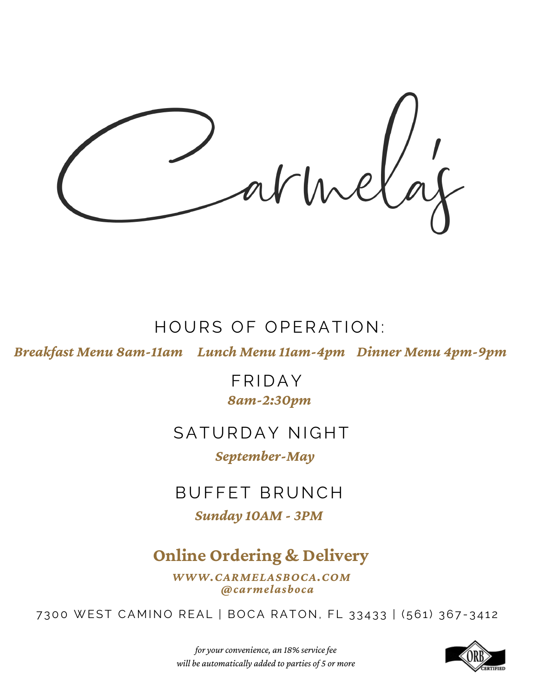# HOURS OF OPERATION:

*Breakfast Menu 8am-11am Lunch Menu 11am-4pm Dinner Menu 4pm-9pm*

FRIDAY *8am-2:30pm*

# SATURDAY NIGHT

*September-May*

# BUFFET BRUNCH

*Sunday 10AM - 3PM*

# **Online Ordering & Delivery**

*WWW.CARMELASBOCA.COM @carmelasboca*

7300 WEST CAMINO REAL | BOCA RATON, FL 33433 | (561) 367-3412



*for your convenience, an 18% servicefee will be automatically added to parties of 5 or more*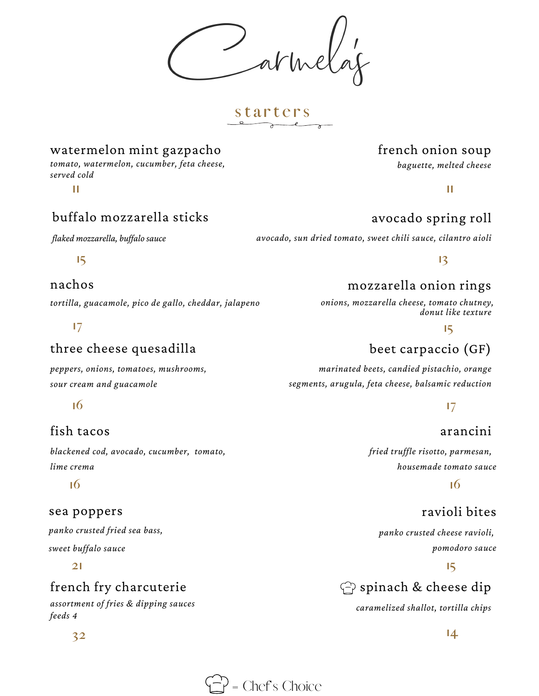**s t a r t e r s**

# watermelon mint gazpacho

**11 11** *tomato, watermelon, cucumber, feta cheese, served cold*

# buffalo mozzarella sticks

**15**

### nachos

*tortilla, guacamole, pico de gallo, cheddar, jalapeno*

### **17**

# three cheese quesadilla

*peppers, onions, tomatoes, mushrooms, sour cream and guacamole*

### **16**

# fish tacos

*blackened cod, avocado, cucumber, tomato, lime crema*

#### sea poppers

*panko crusted fried sea bass,*

*sweet buffalo sauce*

#### **21**

# french fry charcuterie

*assortment of fries & dipping sauces feeds 4*

# french onion soup

*baguette, melted cheese*

# avocado spring roll

*flaked mozzarella, buf alo sauce avocado, sun dried tomato, sweet chili sauce, cilantro aioli*

#### **13**

# mozzarella onion rings

*onions, mozzarella cheese, tomato chutney, donut like texture*

#### **15**

# beet carpaccio (GF)

*marinated beets, candied pistachio, orange segments, arugula, feta cheese, balsamic reduction*

#### **17**

# arancini

*fried truffle risotto, parmesan, housemade tomato sauce*

### **16 16**

# ravioli bites

*panko crusted cheese ravioli, pomodoro sauce*

#### **15**

# $\bigcirc$  spinach & cheese dip

*caramelized shallot, tortilla chips*

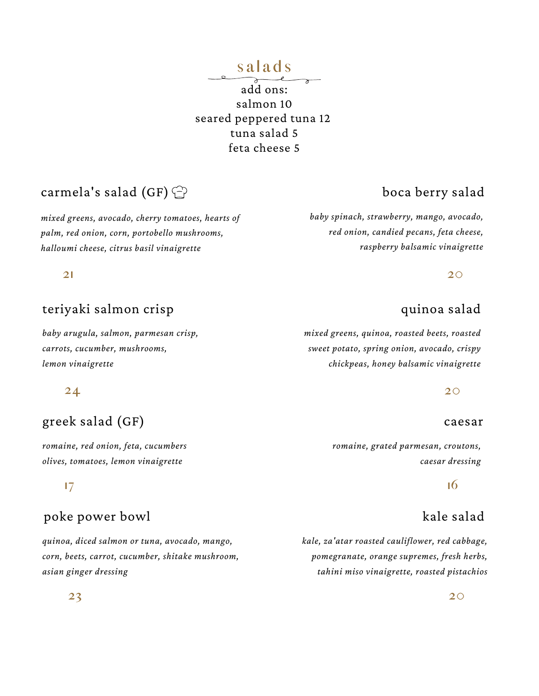# **s a l a d s**

add ons: salmon 10 seared peppered tuna 12 tuna salad 5 feta cheese 5

# carmela's salad (GF)  $\bigcirc$

*mixed greens, avocado, cherry tomatoes, hearts of palm, red onion, corn, portobello mushrooms, halloumi cheese, citrus basil vinaigrette*

#### **21**

#### teriyaki salmon crisp

*baby arugula, salmon, parmesan crisp, carrots, cucumber, mushrooms, lemon vinaigrette*

#### **24**

# greek salad (GF)

*romaine, red onion, feta, cucumbers olives, tomatoes, lemon vinaigrette*

#### **17**

#### poke power bowl

*quinoa, diced salmon or tuna, avocado, mango, corn, beets, carrot, cucumber, shitake mushroom, asian ginger dressing*

# boca berry salad

*baby spinach, strawberry, mango, avocado, red onion, candied pecans, feta cheese, raspberry balsamic vinaigrette*

**20**

#### quinoa salad

*mixed greens, quinoa, roasted beets, roasted sweet potato, spring onion, avocado, crispy chickpeas, honey balsamic vinaigrette*

**20**

#### caesar

*romaine, grated parmesan, croutons, caesar dressing*

#### **16**

### kale salad

*kale, za'atar roasted cauliflower, red cabbage, pomegranate, orange supremes, fresh herbs, tahini miso vinaigrette, roasted pistachios*

#### **23**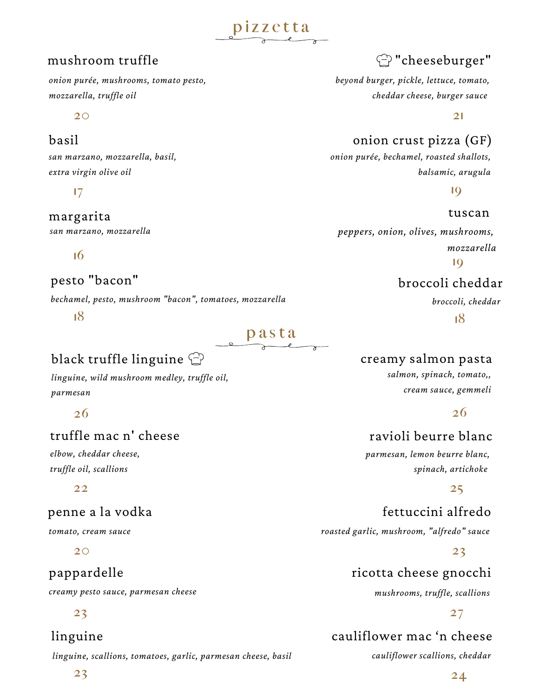#### mushroom truffle

*onion purée, mushrooms, tomato pesto, mozzarella, truffle oil*

**20**

#### basil

*san marzano, mozzarella, basil, extra virgin olive oil*

**17**

#### margarita

*san marzano, mozzarella*

**16**

### pesto "bacon"

*bechamel, pesto, mushroom "bacon", tomatoes, mozzarella*

**18**

# **p** as t a

**pizzetta** 

# black truffle linguine  $\bigcirc$

*linguine, wild mushroom medley, truffle oil, parmesan*

#### **26**

# truffle mac n' cheese

*elbow, cheddar cheese, truffle oil, scallions*

**22**

#### penne a la vodka

*tomato, cream sauce*

**20**

# pappardelle

*creamy pesto sauce, parmesan cheese*

#### **23**

#### linguine

*linguine, scallions, tomatoes, garlic, parmesan cheese, basil*

"cheeseburger"

*beyond burger, pickle, lettuce, tomato, cheddar cheese, burger sauce*

**21**

# onion crust pizza (GF)

*onion purée, bechamel, roasted shallots, balsamic, arugula*

**19**

tuscan

*peppers, onion, olives, mushrooms, mozzarella* **19**

# broccoli cheddar

*broccoli, cheddar*

**18**

#### creamy salmon pasta

*salmon, spinach, tomato,, cream sauce, gemmeli*

**26**

### ravioli beurre blanc

*parmesan, lemon beurre blanc, spinach, artichoke*

#### **25**

fettuccini alfredo *roasted garlic, mushroom, "alfredo" sauce*

**23**

# ricotta cheese gnocchi

*mushrooms, truffle, scallions*

#### **27**

# cauliflower mac 'n cheese

*cauliflower scallions, cheddar*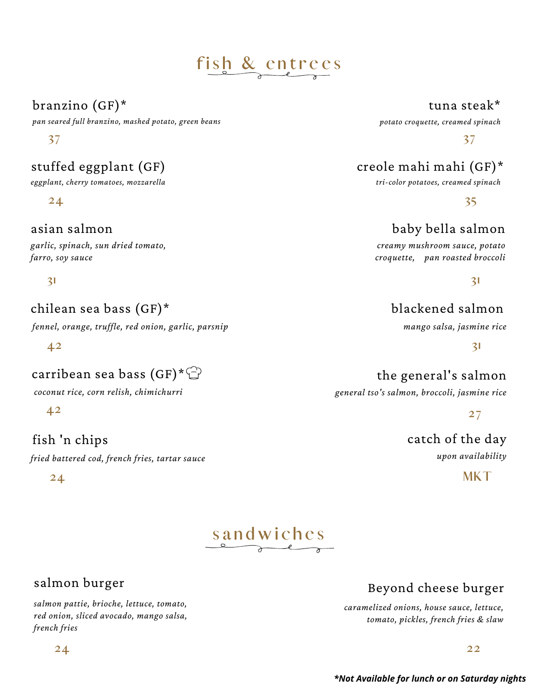# **fi s h & e n t r e e s**

# branzino (GF)\*

*pan seared full branzino, mashed potato, green beans*

#### **37**

# stuffed eggplant (GF)

*eggplant, cherry tomatoes, mozzarella*

**24**

#### asian salmon

*garlic, spinach, sun dried tomato, farro, soy sauce*

#### **31**

# chilean sea bass (GF)\*

*fennel, orange, truffle, red onion, garlic, parsnip*

**42**

# carribean sea bass  $(GF)^*\mathbb{C}$

*coconut rice, corn relish, chimichurri*

**42**

# fish 'n chips

*fried battered cod, french fries, tartar sauce*

**24**

#### tuna steak\*

*potato croquette, creamed spinach*

**37**

# creole mahi mahi (GF)\*

*tri-color potatoes, creamed spinach*

**35**

# baby bella salmon

*creamy mushroom sauce, potato croquette, pan roasted broccoli*

**31**

# blackened salmon

*mango salsa, jasmine rice*

**31**

# the general's salmon

*general tso's salmon, broccoli, jasmine rice*

**27**

catch of the day *upon availability*

**MKT**



# salmon burger

*salmon pattie, brioche, lettuce, tomato, red onion, sliced avocado, mango salsa, french fries*

**24**

# Beyond cheese burger

*caramelized onions, house sauce, lettuce, tomato, pickles, french fries & slaw*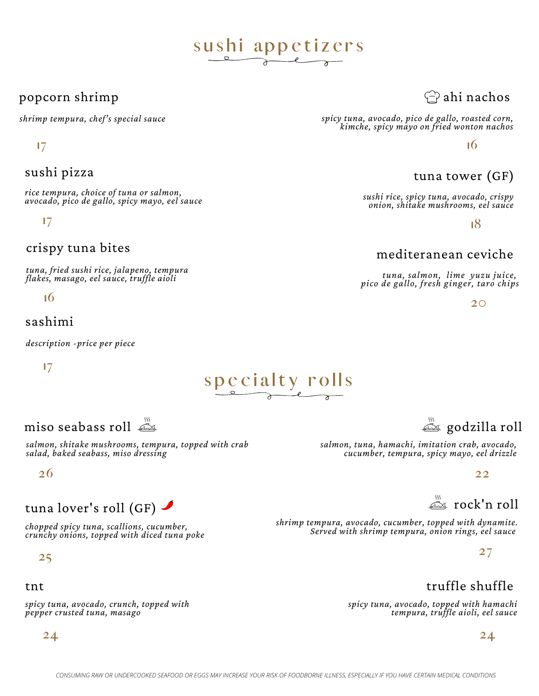# sushi appetizers

### popcorn shrimp

*shrimp tempura, chef's special sauce*

#### **17**

#### sushi pizza

*rice tempura, choice of tuna or salmon, avocado, pico de gallo, spicy mayo, eel sauce*

**17**

#### crispy tuna bites

*tuna, fried sushi rice, jalapeno, tempura flakes, masago, eel sauce, truffle aioli*

**16**

#### sashimi

*description -price per piece*

**17**

miso seabass roll

*salmon, shitake mushrooms, tempura, topped with crab salad, baked seabass, miso dressing*

**26**

# tuna lover's roll (GF)  $\blacktriangle$

*chopped spicy tuna, scallions, cucumber, crunchy onions, topped with diced tuna poke*

**25**

#### tnt

*spicy tuna, avocado, crunch, topped with pepper crusted tuna, masago*

**24**

# $\curvearrowleft$ ahi nachos

*spicy tuna, avocado, pico de gallo, roasted corn, kimche, spicy mayo on fried wonton nachos*

**16**

# tuna tower (GF)

*sushi rice, spicy tuna, avocado, crispy onion, shitake mushrooms, eel sauce*

**18**

# mediteranean ceviche

*tuna, salmon, lime yuzu juice, pico de gallo, fresh ginger, taro chips*

**20**

# godzilla roll

*salmon, tuna, hamachi, imitation crab, avocado, cucumber, tempura, spicy mayo, eel drizzle*

**22**

rock'n roll

*shrimp tempura, avocado, cucumber, topped with dynamite. Served with shrimp tempura, onion rings, eel sauce*

**27**

# truffle shuffle

*spicy tuna, avocado, topped with hamachi tempura, truffle aioli, eel sauce*

#### **24**

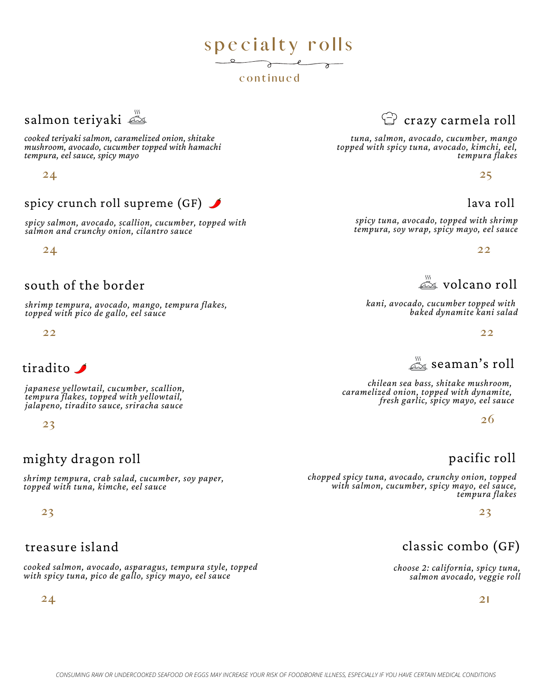# salmon teriyaki

*cooked teriyaki salmon, caramelized onion, shitake mushroom, avocado, cucumber topped with hamachi tempura, eel sauce, spicy mayo*

**24**

### spicy crunch roll supreme (GF)  $\blacktriangleright$

*spicy salmon, avocado, scallion, cucumber, topped with salmon and crunchy onion, cilantro sauce*

**24**

#### south of the border

*shrimp tempura, avocado, mango, tempura flakes, topped with pico de gallo, eel sauce*

**22**

### tiradito

*japanese yellowtail, cucumber, scallion, tempura flakes, topped with yellowtail, jalapeno, tiradito sauce, sriracha sauce*

**23**

### mighty dragon roll

*shrimp tempura, crab salad, cucumber, soy paper, topped with tuna, kimche, eel sauce*

**23**

#### treasure island

*cooked salmon, avocado, asparagus, tempura style, topped with spicy tuna, pico de gallo, spicy mayo, eel sauce*

**24**

# $\mathbb G$  crazy carmela roll

*tuna, salmon, avocado, cucumber, mango topped with spicy tuna, avocado, kimchi, eel, tempura flakes*

**25**

#### lava roll

*spicy tuna, avocado, topped with shrimp tempura, soy wrap, spicy mayo, eel sauce*

**22**

 $\stackrel{\scriptscriptstyle\rm W}{\scriptscriptstyle\rm\ll}\!\!$  volcano roll

*kani, avocado, cucumber topped with baked dynamite kani salad*

**22**

 $\mathbb{Z}_{\leq 0}$  seaman's roll

*chilean sea bass, shitake mushroom, caramelized onion, topped with dynamite, fresh garlic, spicy mayo, eel sauce*

**26**

### pacific roll

*chopped spicy tuna, avocado, crunchy onion, topped with salmon, cucumber, spicy mayo, eel sauce, tempura flakes*

**23**

# classic combo (GF)

*choose 2: california, spicy tuna, salmon avocado, veggie roll*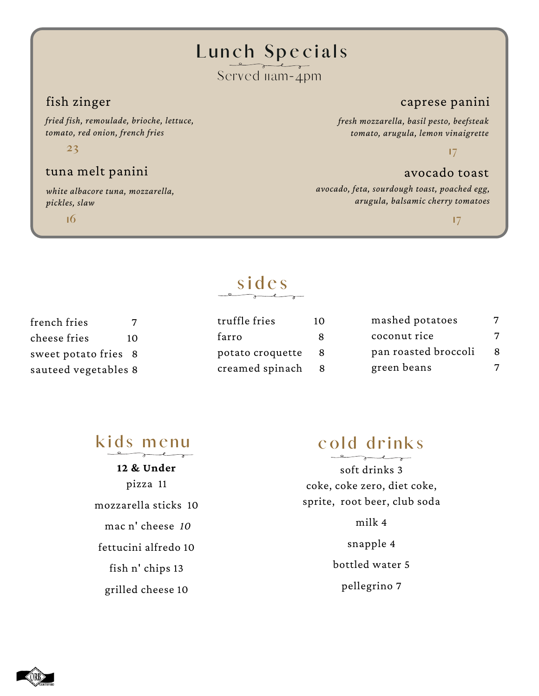# **L u n c h S p e c i a l s**

# Served nam-4pm

#### fish zinger

*fried fish, remoulade, brioche, lettuce, tomato, red onion, french fries*

**23**

#### tuna melt panini

*white albacore tuna, mozzarella, pickles, slaw*

**16**

#### caprese panini

*fresh mozzarella, basil pesto, beefsteak tomato, arugula, lemon vinaigrette*

**17**

#### avocado toast

*avocado, feta, sourdough toast, poached egg, arugula, balsamic cherry tomatoes*

**17**

### french fries 7 cheese fries 10 sweet potato fries 8 sauteed vegetables 8

# **s i d e s**

| truffle fries    | 10 | mashed potatoes      |   |
|------------------|----|----------------------|---|
| farro            |    | coconut rice         | 7 |
| potato croquette | -8 | pan roasted broccoli | 8 |
| creamed spinach  |    | green beans          | 7 |

# $k$  **i**  $d$  **s m**  $e$  **nu**

**12 & Under** pizza 11 mozzarella sticks 10 mac n' cheese *10* fettucini alfredo 10 fish n' chips 13 grilled cheese 10

# **c o l d d r i n k s**

soft drinks 3 coke, coke zero, diet coke, sprite, root beer, club soda

milk 4

snapple 4

bottled water 5

pellegrino 7

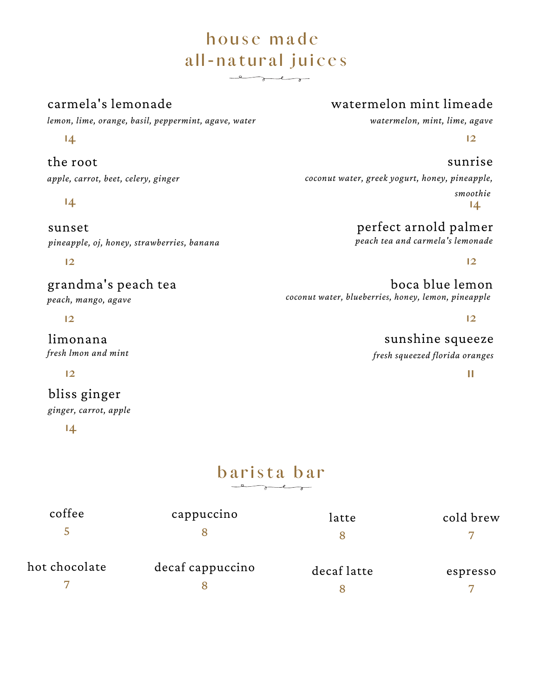# **h o u s e m a d e a l l - n a t u r a l j u i c e s**  $\overline{\phantom{a}}$

#### carmela's lemonade

**14**

#### the root

*apple, carrot, beet, celery, ginger*

**14**

sunset *pineapple, oj, honey, strawberries, banana*

**12**

grandma's peach tea *peach, mango, agave*

**12**

limonana *fresh lmon and mint*

#### **12**

bliss ginger

*ginger, carrot, apple*

**14**

# watermelon mint limeade

*watermelon, mint, lime, agave*

**12**

sunrise *coconut water, greek yogurt, honey, pineapple, smoothie* **14**

> perfect arnold palmer *peach tea and carmela's lemonade*

> > **12**

boca blue lemon *coconut water, blueberries, honey, lemon, pineapple*

**12**

sunshine squeeze *fresh squeezed florida oranges*

**11**

# $b$  **arista**  $b$  **ar**

| coffee        | cappuccino       | latte       | cold brew |
|---------------|------------------|-------------|-----------|
| hot chocolate | decaf cappuccino | decaf latte | espresso  |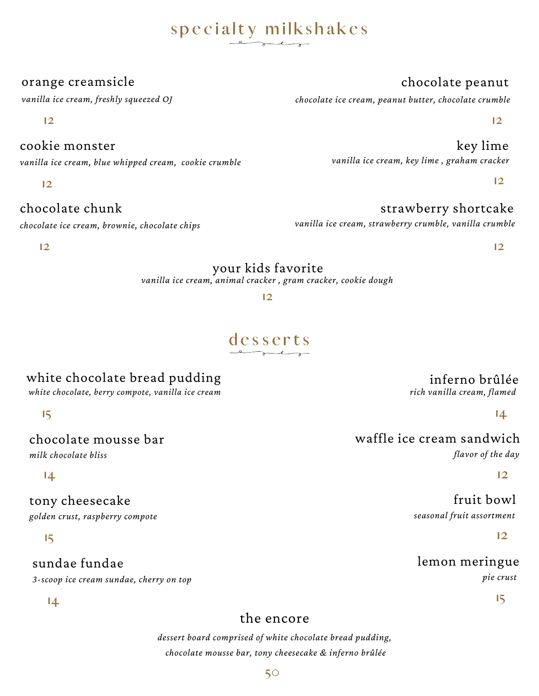# **s p e c i a l t y m i l k s h a k e s**

#### orange creamsicle

*vanilla ice cream, freshly squeezed OJ*

**12**

#### cookie monster

*vanilla ice cream, blue whipped cream, cookie crumble*

**12**

# chocolate chunk

*chocolate ice cream, brownie, chocolate chips*

**12**

# your kids favorite

*vanilla ice cream, animal cracker , gram cracker, cookie dough*

**12**

# **desserts**

# white chocolate bread pudding

*white chocolate, berry compote, vanilla ice cream*

**15**

chocolate mousse bar

*milk chocolate bliss*

**14**

tony cheesecake

*golden crust, raspberry compote*

#### **15**

# sundae fundae

*3-scoop ice cream sundae, cherry on top*

**14**

# the encore

*dessert board comprised of white chocolate bread pudding, chocolate mousse bar, tony cheesecake & inferno brûlée*

# chocolate peanut

*chocolate ice cream, peanut butter, chocolate crumble*

**12**

key lime *vanilla ice cream, key lime , graham cracker*

**12**

# strawberry shortcake

*vanilla ice cream, strawberry crumble, vanilla crumble*

**12**

# inferno brûlée

*rich vanilla cream, flamed*

**14**

#### waffle ice cream sandwich *flavor of the day*

**12**

fruit bowl *seasonal fruit assortment*

**12**

#### lemon meringue *pie crust*

**15**